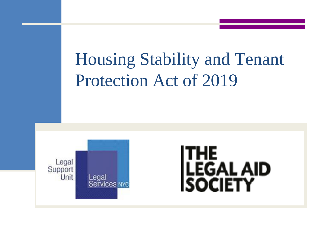# Housing Stability and Tenant Protection Act of 2019



# **THE** LEGAL AID<br>SOCIETY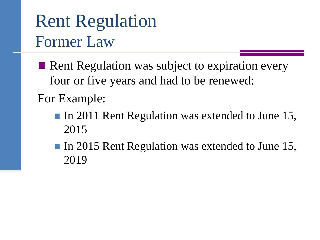### Rent Regulation Former Law

- Rent Regulation was subject to expiration every four or five years and had to be renewed: For Example:
	- In 2011 Rent Regulation was extended to June 15, 2015
	- In 2015 Rent Regulation was extended to June 15, 2019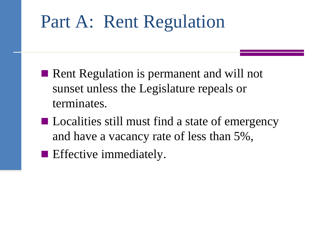# Part A: Rent Regulation

- Rent Regulation is permanent and will not sunset unless the Legislature repeals or terminates.
- Localities still must find a state of emergency and have a vacancy rate of less than 5%,
- **Effective immediately.**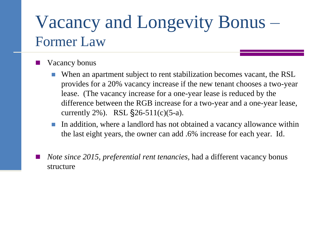### Vacancy and Longevity Bonus – Former Law

- Vacancy bonus
	- When an apartment subject to rent stabilization becomes vacant, the RSL provides for a 20% vacancy increase if the new tenant chooses a two-year lease. (The vacancy increase for a one-year lease is reduced by the difference between the RGB increase for a two-year and a one-year lease, currently 2%). RSL  $\S$ 26-511(c)(5-a).
	- In addition, where a landlord has not obtained a vacancy allowance within the last eight years, the owner can add .6% increase for each year. Id.
	- *Note since 2015, preferential rent tenancies,* had a different vacancy bonus structure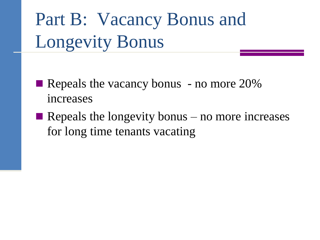Part B: Vacancy Bonus and Longevity Bonus

- Repeals the vacancy bonus no more 20% increases
- Repeals the longevity bonus no more increases for long time tenants vacating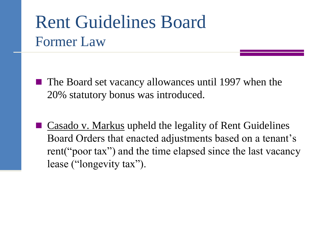### Rent Guidelines Board Former Law

- The Board set vacancy allowances until 1997 when the 20% statutory bonus was introduced.
- Casado v. Markus upheld the legality of Rent Guidelines Board Orders that enacted adjustments based on a tenant's rent("poor tax") and the time elapsed since the last vacancy lease ("longevity tax").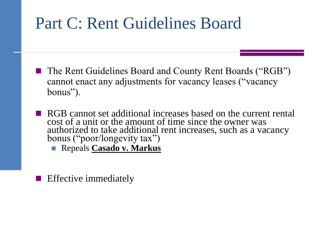### Part C: Rent Guidelines Board

- The Rent Guidelines Board and County Rent Boards ("RGB") cannot enact any adjustments for vacancy leases ("vacancy bonus").
- **RGB** cannot set additional increases based on the current rental cost of a unit or the amount of time since the owner was authorized to take additional rent increases, such as a vacancy bonus ("poor/longevity tax")
	- Repeals **Casado v. Markus**
- Effective immediately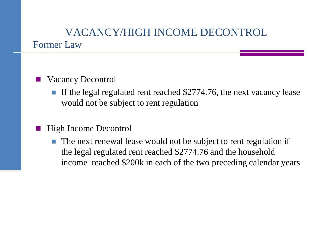#### VACANCY/HIGH INCOME DECONTROL Former Law

#### Vacancy Decontrol

 If the legal regulated rent reached \$2774.76, the next vacancy lease would not be subject to rent regulation

#### High Income Decontrol

 The next renewal lease would not be subject to rent regulation if the legal regulated rent reached \$2774.76 and the household income reached \$200k in each of the two preceding calendar years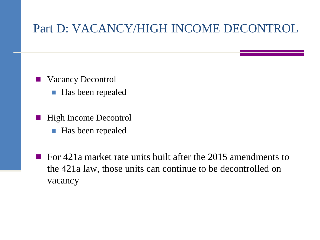#### Part D: VACANCY/HIGH INCOME DECONTROL

- Vacancy Decontrol ■ Has been repealed
- High Income Decontrol
	- **Has been repealed**
- For  $421a$  market rate units built after the 2015 amendments to the 421a law, those units can continue to be decontrolled on vacancy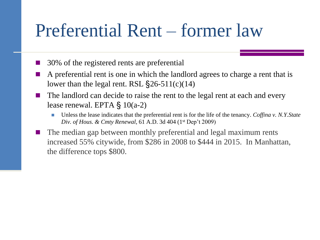### Preferential Rent – former law

- 30% of the registered rents are preferential
- A preferential rent is one in which the landlord agrees to charge a rent that is lower than the legal rent. RSL  $\S$ 26-511(c)(14)
- The landlord can decide to raise the rent to the legal rent at each and every lease renewal. EPTA  $\S$  10(a-2)
	- Unless the lease indicates that the preferential rent is for the life of the tenancy. *Coffina v. N.Y.State Div. of Hous. & Cmty Renewal*, 61 A.D. 3d 404 (1st Dep't 2009)
- The median gap between monthly preferential and legal maximum rents increased 55% citywide, from \$286 in 2008 to \$444 in 2015. In Manhattan, the difference tops \$800.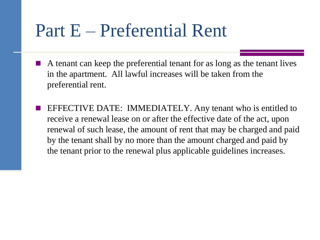### Part E – Preferential Rent

- A tenant can keep the preferential tenant for as long as the tenant lives in the apartment. All lawful increases will be taken from the preferential rent.
- EFFECTIVE DATE: IMMEDIATELY. Any tenant who is entitled to receive a renewal lease on or after the effective date of the act, upon renewal of such lease, the amount of rent that may be charged and paid by the tenant shall by no more than the amount charged and paid by the tenant prior to the renewal plus applicable guidelines increases.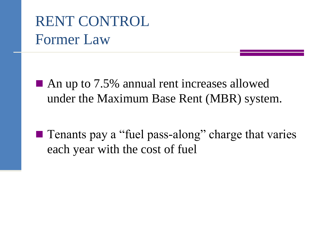### RENT CONTROL Former Law

- An up to 7.5% annual rent increases allowed under the Maximum Base Rent (MBR) system.
- **T** Tenants pay a "fuel pass-along" charge that varies each year with the cost of fuel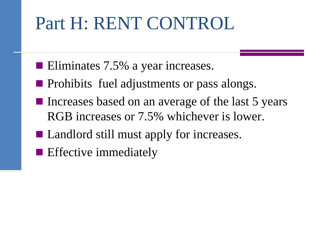# Part H: RENT CONTROL

- Eliminates 7.5% a year increases.
- **Prohibits fuel adjustments or pass alongs.**
- Increases based on an average of the last 5 years RGB increases or 7.5% whichever is lower.
- Landlord still must apply for increases.
- **Effective immediately**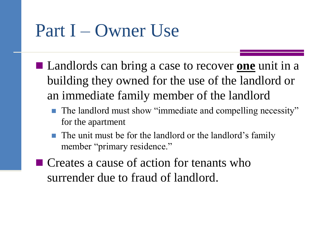# Part I – Owner Use

- Landlords can bring a case to recover <u>one</u> unit in a building they owned for the use of the landlord or an immediate family member of the landlord
	- The landlord must show "immediate and compelling necessity" for the apartment
	- The unit must be for the landlord or the landlord's family member "primary residence."
- Creates a cause of action for tenants who surrender due to fraud of landlord.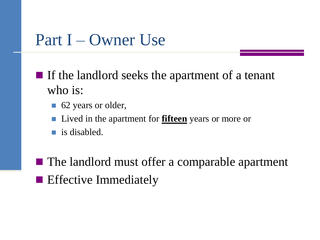### Part I – Owner Use

- $\blacksquare$  If the landlord seeks the apartment of a tenant who is:
	- 62 years or older,
	- Lived in the apartment for **fifteen** years or more or
	- is disabled.
- The landlord must offer a comparable apartment **Effective Immediately**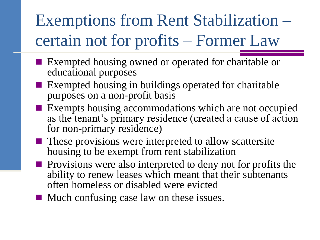## Exemptions from Rent Stabilization – certain not for profits – Former Law

- Exempted housing owned or operated for charitable or educational purposes
- Exempted housing in buildings operated for charitable purposes on a non-profit basis
- **Exempts housing accommodations which are not occupied** as the tenant's primary residence (created a cause of action for non-primary residence)
- **These provisions were interpreted to allow scattersite** housing to be exempt from rent stabilization
- $\blacksquare$  Provisions were also interpreted to deny not for profits the ability to renew leases which meant that their subtenants often homeless or disabled were evicted
- Much confusing case law on these issues.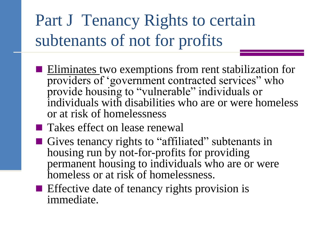### Part J Tenancy Rights to certain subtenants of not for profits

- **Eliminates** two exemptions from rent stabilization for providers of 'government contracted services" who provide housing to "vulnerable" individuals or individuals with disabilities who are or were homeless or at risk of homelessness
- **Takes effect on lease renewal**
- Gives tenancy rights to "affiliated" subtenants in housing run by not-for-profits for providing permanent housing to individuals who are or were homeless or at risk of homelessness.
- $\blacksquare$  Effective date of tenancy rights provision is immediate.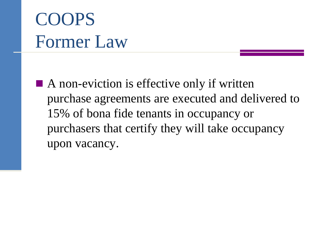# COOPS Former Law

■ A non-eviction is effective only if written purchase agreements are executed and delivered to 15% of bona fide tenants in occupancy or purchasers that certify they will take occupancy upon vacancy.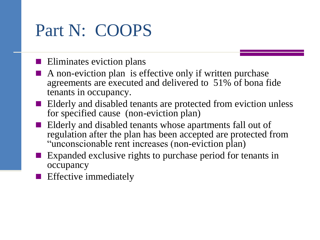### Part N: COOPS

 $\blacksquare$  Eliminates eviction plans

- A non-eviction plan is effective only if written purchase agreements are executed and delivered to 51% of bona fide tenants in occupancy.
- **EXTERGERI** Elderly and disabled tenants are protected from eviction unless for specified cause (non-eviction plan)
- Elderly and disabled tenants whose apartments fall out of regulation after the plan has been accepted are protected from "unconscionable rent increases (non-eviction plan)
- **Expanded exclusive rights to purchase period for tenants in** occupancy
- **Effective immediately**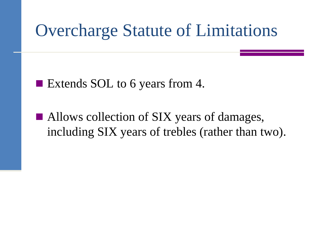- Extends SOL to 6 years from 4.
- Allows collection of SIX years of damages, including SIX years of trebles (rather than two).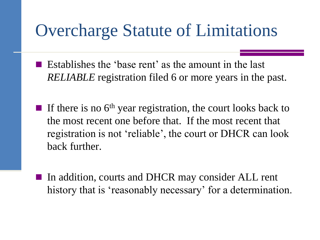- Establishes the 'base rent' as the amount in the last *RELIABLE* registration filed 6 or more years in the past.
- If there is no  $6<sup>th</sup>$  year registration, the court looks back to the most recent one before that. If the most recent that registration is not 'reliable', the court or DHCR can look back further.
	- In addition, courts and DHCR may consider ALL rent history that is 'reasonably necessary' for a determination.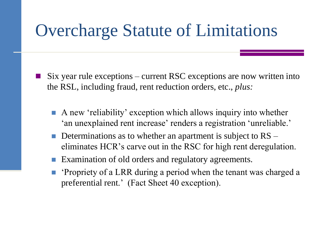- Six year rule exceptions current RSC exceptions are now written into the RSL, including fraud, rent reduction orders, etc., *plus:*
	- A new 'reliability' exception which allows inquiry into whether 'an unexplained rent increase' renders a registration 'unreliable.'
	- Determinations as to whether an apartment is subject to RS eliminates HCR's carve out in the RSC for high rent deregulation.
	- Examination of old orders and regulatory agreements.
	- 'Propriety of a LRR during a period when the tenant was charged a preferential rent.' (Fact Sheet 40 exception).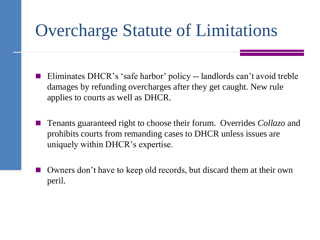- Eliminates DHCR's 'safe harbor' policy -- landlords can't avoid treble damages by refunding overcharges after they get caught. New rule applies to courts as well as DHCR.
- Tenants guaranteed right to choose their forum. Overrides *Collazo* and prohibits courts from remanding cases to DHCR unless issues are uniquely within DHCR's expertise.
- Owners don't have to keep old records, but discard them at their own peril.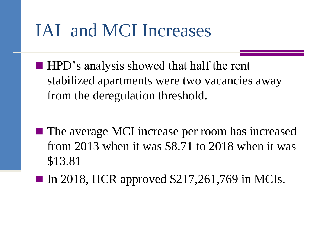# IAI and MCI Increases

- HPD's analysis showed that half the rent stabilized apartments were two vacancies away from the deregulation threshold.
- The average MCI increase per room has increased from 2013 when it was \$8.71 to 2018 when it was \$13.81
- In 2018, HCR approved  $$217,261,769$  in MCIs.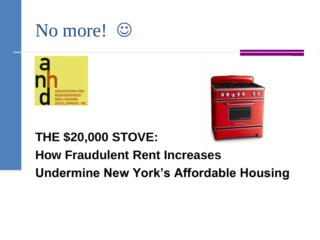# No more! ©





### **THE \$20,000 STOVE:**

### **How Fraudulent Rent Increases Undermine New York's Affordable Housing**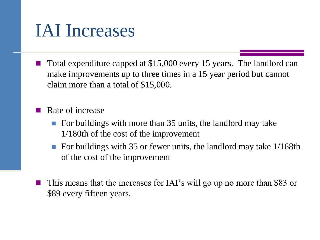### IAI Increases

 Total expenditure capped at \$15,000 every 15 years. The landlord can make improvements up to three times in a 15 year period but cannot claim more than a total of \$15,000.

Rate of increase

- For buildings with more than  $35$  units, the landlord may take 1/180th of the cost of the improvement
- For buildings with 35 or fewer units, the landlord may take 1/168th of the cost of the improvement
- This means that the increases for IAI's will go up no more than \$83 or \$89 every fifteen years.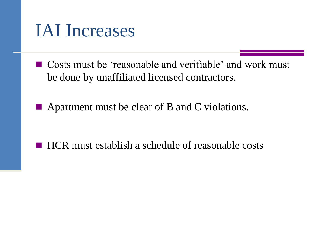### IAI Increases

- Costs must be 'reasonable and verifiable' and work must be done by unaffiliated licensed contractors.
- Apartment must be clear of B and C violations.

■ HCR must establish a schedule of reasonable costs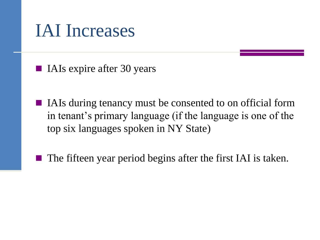### IAI Increases

■ IAIs expire after 30 years

- IAIs during tenancy must be consented to on official form in tenant's primary language (if the language is one of the top six languages spoken in NY State)
- The fifteen year period begins after the first IAI is taken.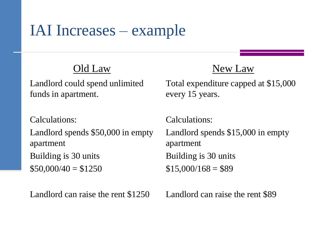### IAI Increases – example

#### Old Law

Landlord could spend unlimited funds in apartment.

Calculations: Landlord spends \$50,000 in empty apartment Building is 30 units  $$50,000/40 = $1250$ 

Landlord can raise the rent \$1250

#### New Law

Total expenditure capped at \$15,000 every 15 years.

Calculations: Landlord spends \$15,000 in empty apartment Building is 30 units  $$15,000/168 = $89$ 

Landlord can raise the rent \$89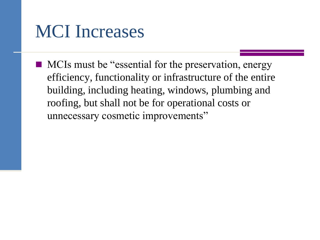■ MCIs must be "essential for the preservation, energy efficiency, functionality or infrastructure of the entire building, including heating, windows, plumbing and roofing, but shall not be for operational costs or unnecessary cosmetic improvements"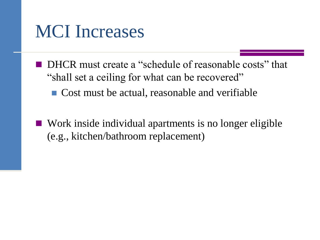- DHCR must create a "schedule of reasonable costs" that "shall set a ceiling for what can be recovered"
	- Cost must be actual, reasonable and verifiable
- Work inside individual apartments is no longer eligible (e.g., kitchen/bathroom replacement)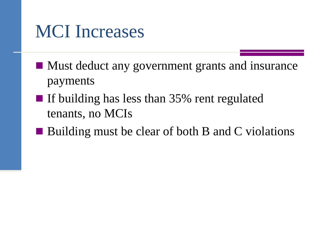- Must deduct any government grants and insurance payments
- If building has less than 35% rent regulated tenants, no MCIs
- Building must be clear of both B and C violations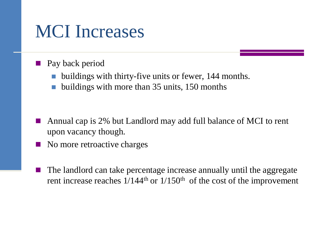- Pay back period
	- buildings with thirty-five units or fewer, 144 months.
	- buildings with more than 35 units, 150 months

- Annual cap is 2% but Landlord may add full balance of MCI to rent upon vacancy though.
- No more retroactive charges
- The landlord can take percentage increase annually until the aggregate rent increase reaches  $1/144$ <sup>th</sup> or  $1/150$ <sup>th</sup> of the cost of the improvement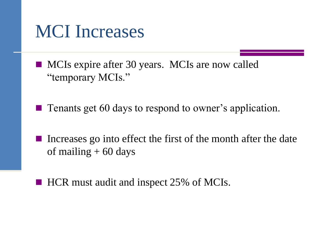■ MCIs expire after 30 years. MCIs are now called "temporary MCIs."

Tenants get 60 days to respond to owner's application.

- Increases go into effect the first of the month after the date of mailing  $+60$  days
- HCR must audit and inspect 25% of MCIs.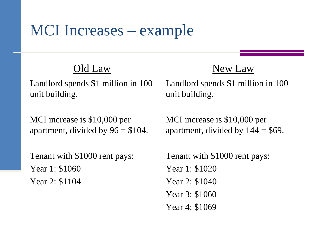### MCI Increases – example

#### Old Law

Landlord spends \$1 million in 100 unit building.

MCI increase is \$10,000 per apartment, divided by  $96 = $104$ .

Tenant with \$1000 rent pays: Year 1: \$1060 Year 2: \$1104

#### New Law

Landlord spends \$1 million in 100 unit building.

MCI increase is \$10,000 per apartment, divided by  $144 = $69$ .

Tenant with \$1000 rent pays: Year 1: \$1020 Year 2: \$1040 Year 3: \$1060 Year 4: \$1069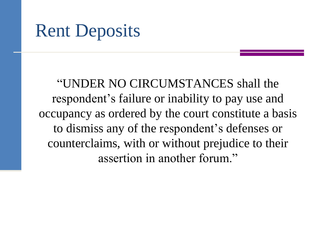### Rent Deposits

"UNDER NO CIRCUMSTANCES shall the respondent's failure or inability to pay use and occupancy as ordered by the court constitute a basis to dismiss any of the respondent's defenses or counterclaims, with or without prejudice to their assertion in another forum."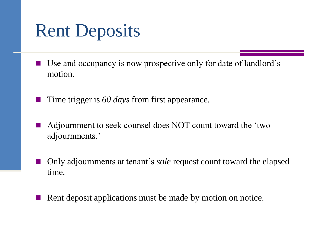## Rent Deposits

- Use and occupancy is now prospective only for date of landlord's motion.
- Time trigger is *60 days* from first appearance.
- Adjournment to seek counsel does NOT count toward the 'two adjournments.'
- Only adjournments at tenant's *sole* request count toward the elapsed time.
- Rent deposit applications must be made by motion on notice.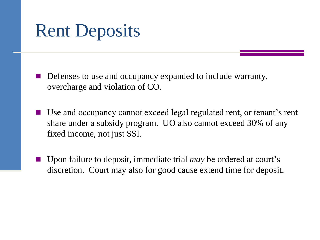## Rent Deposits

- Defenses to use and occupancy expanded to include warranty, overcharge and violation of CO.
- Use and occupancy cannot exceed legal regulated rent, or tenant's rent share under a subsidy program. UO also cannot exceed 30% of any fixed income, not just SSI.
- Upon failure to deposit, immediate trial *may* be ordered at court's discretion. Court may also for good cause extend time for deposit.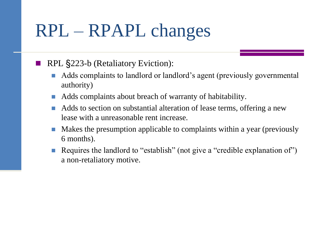#### RPL §223-b (Retaliatory Eviction):

- Adds complaints to landlord or landlord's agent (previously governmental authority)
- Adds complaints about breach of warranty of habitability.
- Adds to section on substantial alteration of lease terms, offering a new lease with a unreasonable rent increase.
- Makes the presumption applicable to complaints within a year (previously 6 months).
- Requires the landlord to "establish" (not give a "credible explanation of") a non-retaliatory motive.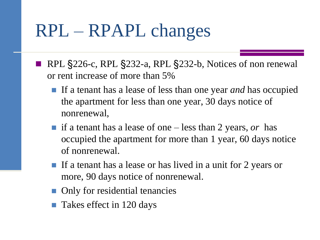- RPL §226-c, RPL §232-a, RPL §232-b, Notices of non renewal or rent increase of more than 5%
	- If a tenant has a lease of less than one year *and* has occupied the apartment for less than one year, 30 days notice of nonrenewal,
	- if a tenant has a lease of one less than 2 years, *or* has occupied the apartment for more than 1 year, 60 days notice of nonrenewal.
	- If a tenant has a lease or has lived in a unit for 2 years or more, 90 days notice of nonrenewal.
	- **Only for residential tenancies**
	- Takes effect in 120 days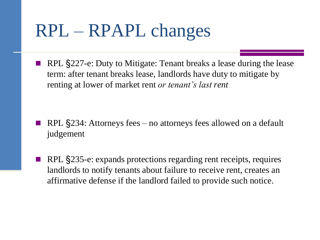RPL §227-e: Duty to Mitigate: Tenant breaks a lease during the lease term: after tenant breaks lease, landlords have duty to mitigate by renting at lower of market rent *or tenant's last rent*

- RPL §234: Attorneys fees no attorneys fees allowed on a default judgement
- RPL §235-e: expands protections regarding rent receipts, requires landlords to notify tenants about failure to receive rent, creates an affirmative defense if the landlord failed to provide such notice.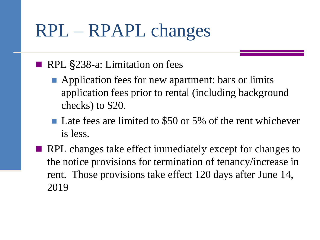#### RPL §238-a: Limitation on fees

- **Application fees for new apartment: bars or limits** application fees prior to rental (including background checks) to \$20.
- Late fees are limited to \$50 or 5% of the rent whichever is less.
- RPL changes take effect immediately except for changes to the notice provisions for termination of tenancy/increase in rent. Those provisions take effect 120 days after June 14, 2019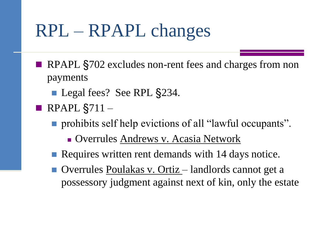- RPAPL §702 excludes non-rent fees and charges from non payments
	- Legal fees? See RPL §234.
- RPAPL  $\S$ 711
	- **prohibits self help evictions of all "lawful occupants".** 
		- Overrules Andrews v. Acasia Network
	- Requires written rent demands with 14 days notice.
	- Overrules Poulakas v. Ortiz landlords cannot get a possessory judgment against next of kin, only the estate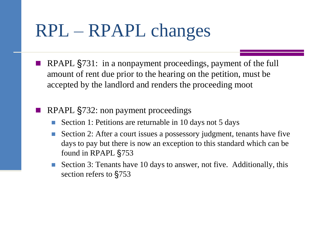- RPAPL §731: in a nonpayment proceedings, payment of the full amount of rent due prior to the hearing on the petition, must be accepted by the landlord and renders the proceeding moot
- RPAPL §732: non payment proceedings
	- Section 1: Petitions are returnable in 10 days not 5 days
	- Section 2: After a court issues a possessory judgment, tenants have five days to pay but there is now an exception to this standard which can be found in RPAPL §753
	- Section 3: Tenants have 10 days to answer, not five. Additionally, this section refers to §753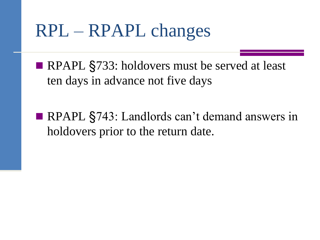RPAPL §733: holdovers must be served at least ten days in advance not five days

■ RPAPL §743: Landlords can't demand answers in holdovers prior to the return date.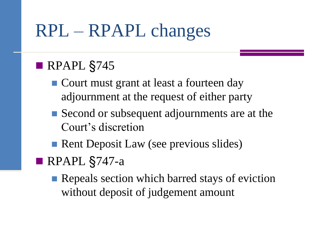### RPAPL §745

- Court must grant at least a fourteen day adjournment at the request of either party
- Second or subsequent adjournments are at the Court's discretion
- Rent Deposit Law (see previous slides)
- RPAPL §747-a
	- **Repeals section which barred stays of eviction** without deposit of judgement amount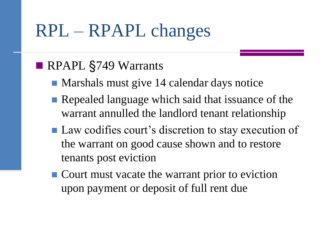### RPAPL §749 Warrants

- Marshals must give 14 calendar days notice
- Repealed language which said that issuance of the warrant annulled the landlord tenant relationship
- Law codifies court's discretion to stay execution of the warrant on good cause shown and to restore tenants post eviction
- Court must vacate the warrant prior to eviction upon payment or deposit of full rent due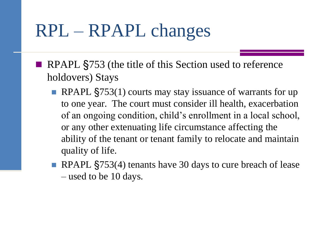- RPAPL §753 (the title of this Section used to reference holdovers) Stays
	- RPAPL §753(1) courts may stay issuance of warrants for up to one year. The court must consider ill health, exacerbation of an ongoing condition, child's enrollment in a local school, or any other extenuating life circumstance affecting the ability of the tenant or tenant family to relocate and maintain quality of life.
	- RPAPL §753(4) tenants have 30 days to cure breach of lease – used to be 10 days.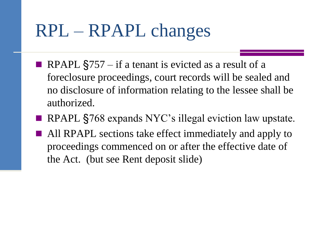- RPAPL  $\S$ 757 if a tenant is evicted as a result of a foreclosure proceedings, court records will be sealed and no disclosure of information relating to the lessee shall be authorized.
- RPAPL §768 expands NYC's illegal eviction law upstate.
- **All RPAPL** sections take effect immediately and apply to proceedings commenced on or after the effective date of the Act. (but see Rent deposit slide)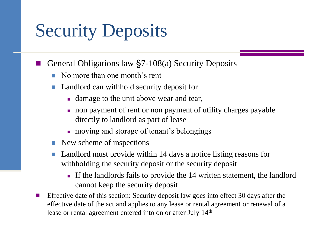# Security Deposits

- General Obligations law §7-108(a) Security Deposits
	- No more than one month's rent
	- Landlord can withhold security deposit for
		- damage to the unit above wear and tear,
		- non payment of rent or non payment of utility charges payable directly to landlord as part of lease
		- **n** moving and storage of tenant's belongings
	- $\blacksquare$  New scheme of inspections
	- Landlord must provide within 14 days a notice listing reasons for withholding the security deposit or the security deposit
		- If the landlords fails to provide the 14 written statement, the landlord cannot keep the security deposit
- Effective date of this section: Security deposit law goes into effect 30 days after the effective date of the act and applies to any lease or rental agreement or renewal of a lease or rental agreement entered into on or after July 14<sup>th</sup>